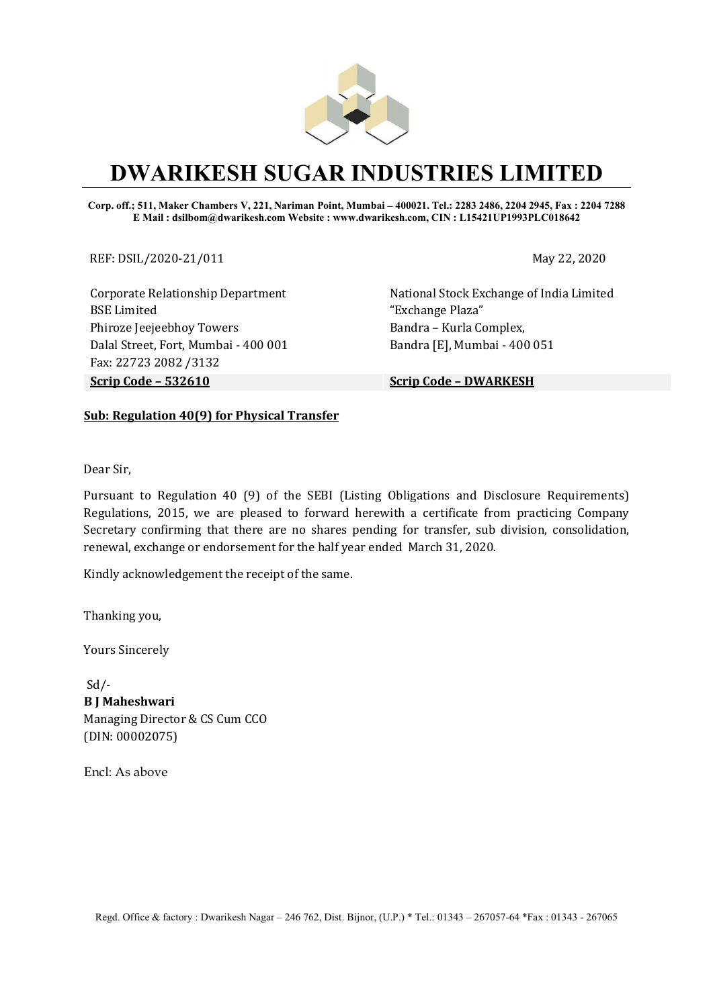

# DWARIKESH SUGAR INDUSTRIES LIMITED

Corp. off.; 511, Maker Chambers V, 221, Nariman Point, Mumbai – 400021. Tel.: 2283 2486, 2204 2945, Fax : 2204 7288 E Mail : dsilbom@dwarikesh.com Website : www.dwarikesh.com, CIN : L15421UP1993PLC018642

REF: DSIL/2020-21/011 May 22, 2020

Corporate Relationship Department BSE Limited Phiroze Jeejeebhoy Towers Dalal Street, Fort, Mumbai - 400 001 Fax: 22723 2082 /3132 Scrip Code – 532610 Scrip Code – DWARKESH

National Stock Exchange of India Limited "Exchange Plaza" Bandra – Kurla Complex, Bandra [E], Mumbai - 400 051

### Sub: Regulation 40(9) for Physical Transfer

Dear Sir,

Pursuant to Regulation 40 (9) of the SEBI (Listing Obligations and Disclosure Requirements) Regulations, 2015, we are pleased to forward herewith a certificate from practicing Company Secretary confirming that there are no shares pending for transfer, sub division, consolidation, renewal, exchange or endorsement for the half year ended March 31, 2020.

Kindly acknowledgement the receipt of the same.

Thanking you,

Yours Sincerely

 Sd/- B J Maheshwari Managing Director & CS Cum CCO (DIN: 00002075)

Encl: As above